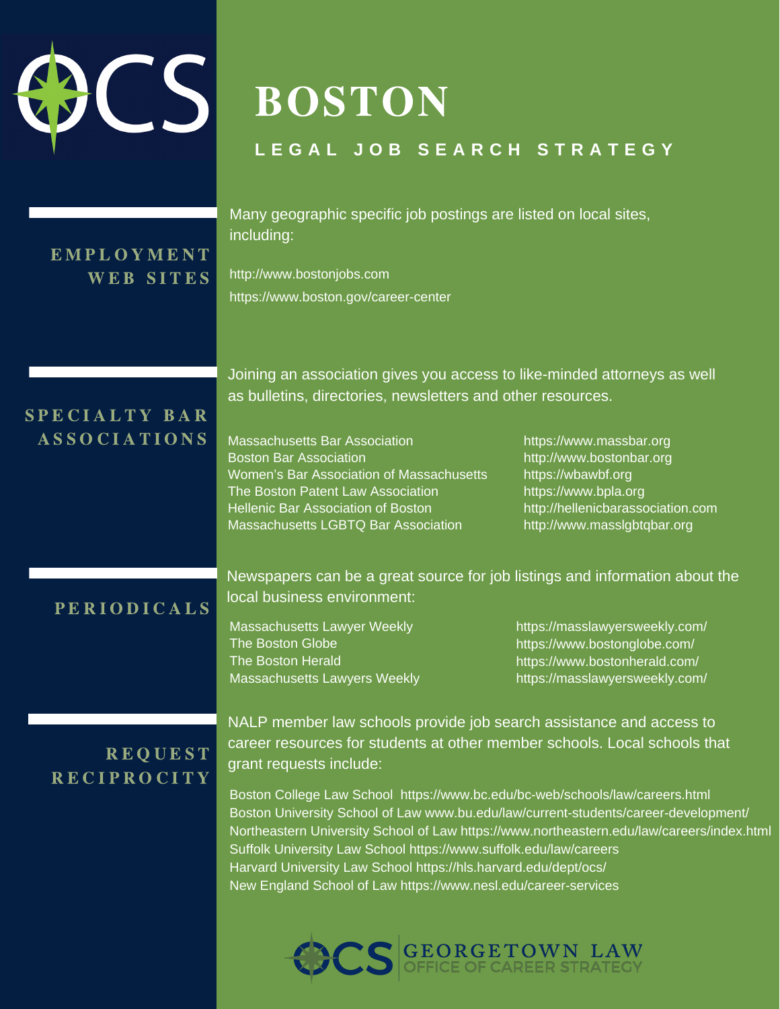# BOSTON

### **L E G A L J O B S E A R C H S T R A T E G Y**

## E M P L O Y M E N T

 Many geographic specific job postings are listed on local sites, including:

 $W E B S I T E S$  http://www.bostonjobs.com https://www.boston.gov/career-center

### SPECIALTY BAR A S S O C I A T I O N S Massachusetts Bar Association https://www.massbar.org

 Joining an association gives you access to like-minded attorneys as well as bulletins, directories, newsletters and other resources.

**Massachusetts Bar Association Boston Bar Association**  Women's Bar Association of Massachusetts https://wbawbf.org The Boston Patent Law Association https://www.bpla.org Hellenic Bar Association of Boston http://hellenicbarassociation.com Massachusetts LGBTQ Bar Association http://www.masslgbtqbar.org

https://wbawbf.org http://hellenicbarassociation.com http://www.bostonbar.org

Newspapers can be a great source for job listings and information about the P E R I O D I C A L S local business environment:

> The Boston Globe The Boston Herald Massachusetts Lawyers Weekly Massachusetts Lawyer Weekly https://masslawyersweekly.com/

> Massachusetts Lawyers Weekly https://masslawyersweekly.com/ https://www.bostonglobe.com/ https://www.bostonherald.com/

NALP member law schools provide job search assistance and access to REQUEST career resources for students at other member schools. Local schools that<br>R E C I P R O C I T Y grant requests include:

> Boston College Law School https://www.bc.edu/bc-web/schools/law/careers.html Boston University School of Law www.bu.edu/law/current-students/career-development/ Northeastern University School of Law https://www.northeastern.edu/law/careers/index.html Suffolk University Law School https://www.suffolk.edu/law/careers Harvard University Law School https://hls.harvard.edu/dept/ocs/ New England School of Law https://www.nesl.edu/career-services